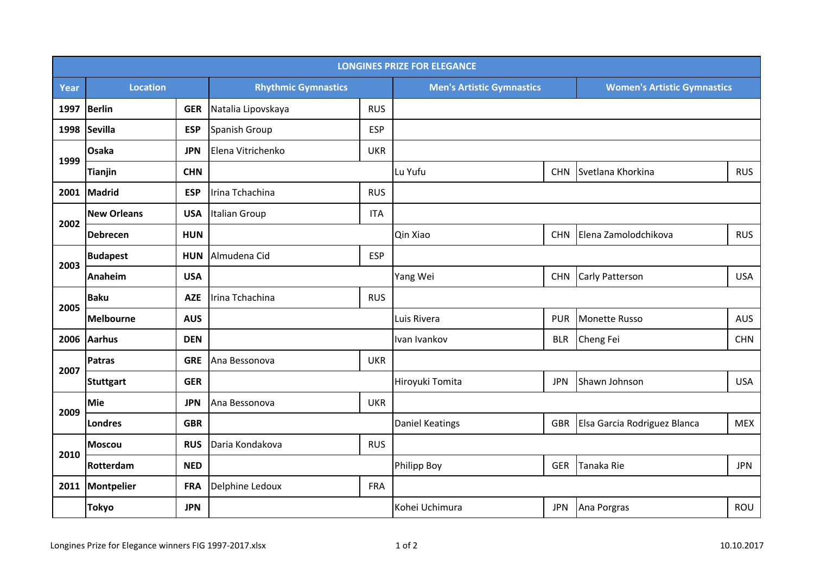| <b>LONGINES PRIZE FOR ELEGANCE</b> |                    |            |                            |            |                                  |            |                                    |            |  |  |  |  |
|------------------------------------|--------------------|------------|----------------------------|------------|----------------------------------|------------|------------------------------------|------------|--|--|--|--|
| Year                               | <b>Location</b>    |            | <b>Rhythmic Gymnastics</b> |            | <b>Men's Artistic Gymnastics</b> |            | <b>Women's Artistic Gymnastics</b> |            |  |  |  |  |
| 1997                               | Berlin             | <b>GER</b> | Natalia Lipovskaya         | <b>RUS</b> |                                  |            |                                    |            |  |  |  |  |
| 1998                               | Sevilla            | <b>ESP</b> | Spanish Group              | <b>ESP</b> |                                  |            |                                    |            |  |  |  |  |
| 1999                               | Osaka              | <b>JPN</b> | Elena Vitrichenko          | <b>UKR</b> |                                  |            |                                    |            |  |  |  |  |
|                                    | <b>Tianjin</b>     | <b>CHN</b> |                            |            | Lu Yufu                          | <b>CHN</b> | Svetlana Khorkina                  | <b>RUS</b> |  |  |  |  |
| 2001                               | Madrid             | <b>ESP</b> | Irina Tchachina            | <b>RUS</b> |                                  |            |                                    |            |  |  |  |  |
| 2002                               | <b>New Orleans</b> | <b>USA</b> | Italian Group              | <b>ITA</b> |                                  |            |                                    |            |  |  |  |  |
|                                    | <b>Debrecen</b>    | <b>HUN</b> |                            |            | Qin Xiao                         | <b>CHN</b> | Elena Zamolodchikova               | <b>RUS</b> |  |  |  |  |
| 2003                               | <b>Budapest</b>    | <b>HUN</b> | Almudena Cid               | <b>ESP</b> |                                  |            |                                    |            |  |  |  |  |
|                                    | Anaheim            | <b>USA</b> |                            |            | Yang Wei                         | <b>CHN</b> | Carly Patterson                    | <b>USA</b> |  |  |  |  |
| 2005                               | <b>Baku</b>        | <b>AZE</b> | Irina Tchachina            | <b>RUS</b> |                                  |            |                                    |            |  |  |  |  |
|                                    | Melbourne          | <b>AUS</b> |                            |            | Luis Rivera                      | <b>PUR</b> | Monette Russo                      | <b>AUS</b> |  |  |  |  |
|                                    | 2006 Aarhus        | <b>DEN</b> |                            |            | Ivan Ivankov                     | <b>BLR</b> | Cheng Fei                          | <b>CHN</b> |  |  |  |  |
| 2007                               | Patras             | <b>GRE</b> | Ana Bessonova              | <b>UKR</b> |                                  |            |                                    |            |  |  |  |  |
|                                    | <b>Stuttgart</b>   | <b>GER</b> |                            |            | Hiroyuki Tomita                  | <b>JPN</b> | Shawn Johnson                      | <b>USA</b> |  |  |  |  |
| 2009                               | <b>Mie</b>         | <b>JPN</b> | Ana Bessonova              | <b>UKR</b> |                                  |            |                                    |            |  |  |  |  |
|                                    | Londres            | <b>GBR</b> |                            |            | Daniel Keatings                  | <b>GBR</b> | Elsa Garcia Rodriguez Blanca       | <b>MEX</b> |  |  |  |  |
| 2010                               | <b>Moscou</b>      | <b>RUS</b> | Daria Kondakova            | <b>RUS</b> |                                  |            |                                    |            |  |  |  |  |
|                                    | Rotterdam          | <b>NED</b> |                            |            | Philipp Boy                      | <b>GER</b> | Tanaka Rie                         | <b>JPN</b> |  |  |  |  |
|                                    | 2011 Montpelier    | <b>FRA</b> | Delphine Ledoux            | <b>FRA</b> |                                  |            |                                    |            |  |  |  |  |
|                                    | <b>Tokyo</b>       | <b>JPN</b> |                            |            | Kohei Uchimura                   | <b>JPN</b> | Ana Porgras                        | ROU        |  |  |  |  |